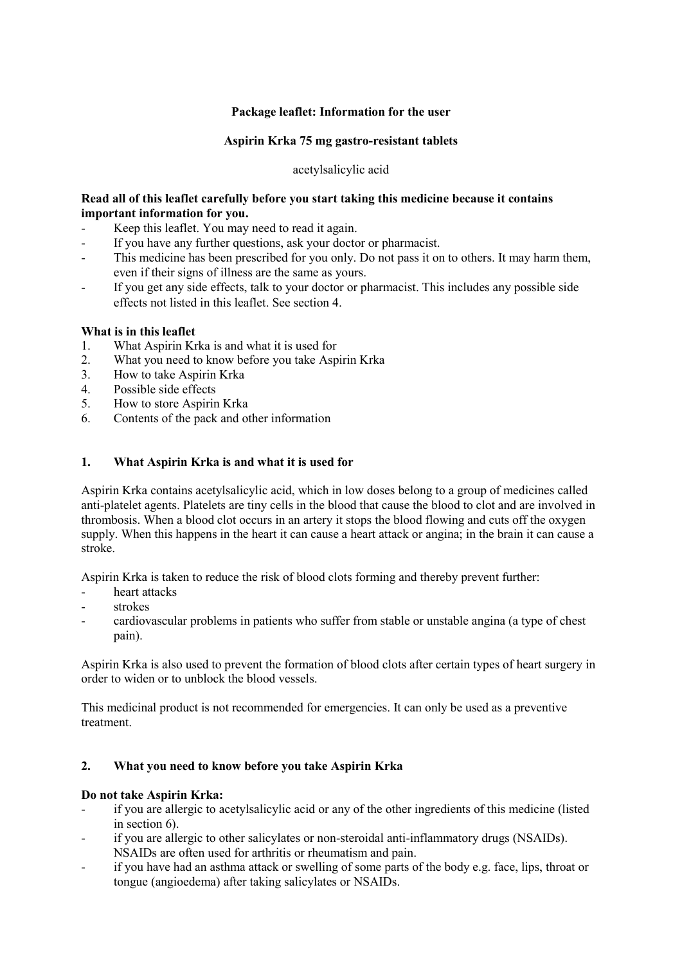# **Package leaflet: Information for the user**

## **Aspirin Krka 75 mg gastro-resistant tablets**

## acetylsalicylic acid

# **Read all of this leaflet carefully before you start taking this medicine because it contains important information for you.**

- Keep this leaflet. You may need to read it again.
- If you have any further questions, ask your doctor or pharmacist.
- This medicine has been prescribed for you only. Do not pass it on to others. It may harm them, even if their signs of illness are the same as yours.
- If you get any side effects, talk to your doctor or pharmacist. This includes any possible side effects not listed in this leaflet. See section 4.

#### **What is in this leaflet**

- 1. What Aspirin Krka is and what it is used for
- 2. What you need to know before you take Aspirin Krka
- 3. How to take Aspirin Krka
- 4. Possible side effects
- 5. How to store Aspirin Krka
- 6. Contents of the pack and other information

# **1. What Aspirin Krka is and what it is used for**

Aspirin Krka contains acetylsalicylic acid, which in low doses belong to a group of medicines called anti-platelet agents. Platelets are tiny cells in the blood that cause the blood to clot and are involved in thrombosis. When a blood clot occurs in an artery it stops the blood flowing and cuts off the oxygen supply. When this happens in the heart it can cause a heart attack or angina; in the brain it can cause a stroke.

Aspirin Krka is taken to reduce the risk of blood clots forming and thereby prevent further:

- heart attacks
- strokes
- cardiovascular problems in patients who suffer from stable or unstable angina (a type of chest pain).

Aspirin Krka is also used to prevent the formation of blood clots after certain types of heart surgery in order to widen or to unblock the blood vessels.

This medicinal product is not recommended for emergencies. It can only be used as a preventive treatment.

# **2. What you need to know before you take Aspirin Krka**

#### **Do not take Aspirin Krka:**

- if you are allergic to acetylsalicylic acid or any of the other ingredients of this medicine (listed in section 6).
- if you are allergic to other salicylates or non-steroidal anti-inflammatory drugs (NSAIDs). NSAIDs are often used for arthritis or rheumatism and pain.
- if you have had an asthma attack or swelling of some parts of the body e.g. face, lips, throat or tongue (angioedema) after taking salicylates or NSAIDs.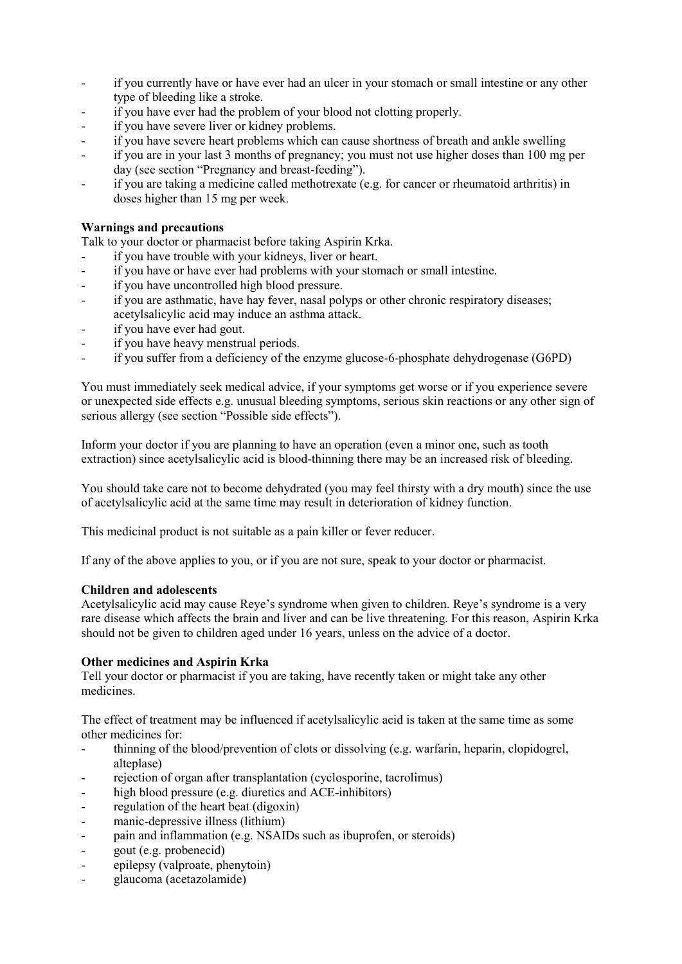- if you currently have or have ever had an ulcer in your stomach or small intestine or any other type of bleeding like a stroke.
- if you have ever had the problem of your blood not clotting properly.
- if you have severe liver or kidney problems.
- if you have severe heart problems which can cause shortness of breath and ankle swelling
- if you are in your last 3 months of pregnancy; you must not use higher doses than 100 mg per day (see section "Pregnancy and breast-feeding").
- if you are taking a medicine called methotrexate (e.g. for cancer or rheumatoid arthritis) in doses higher than 15 mg per week.

# **Warnings and precautions**

Talk to your doctor or pharmacist before taking Aspirin Krka.

- if you have trouble with your kidneys, liver or heart.
- if you have or have ever had problems with your stomach or small intestine.
- if you have uncontrolled high blood pressure.
- if you are asthmatic, have hay fever, nasal polyps or other chronic respiratory diseases; acetylsalicylic acid may induce an asthma attack.
- if you have ever had gout.
- if you have heavy menstrual periods.
- if you suffer from a deficiency of the enzyme glucose-6-phosphate dehydrogenase (G6PD)

You must immediately seek medical advice, if your symptoms get worse or if you experience severe or unexpected side effects e.g. unusual bleeding symptoms, serious skin reactions or any other sign of serious allergy (see section "Possible side effects").

Inform your doctor if you are planning to have an operation (even a minor one, such as tooth extraction) since acetylsalicylic acid is blood-thinning there may be an increased risk of bleeding.

You should take care not to become dehydrated (you may feel thirsty with a dry mouth) since the use of acetylsalicylic acid at the same time may result in deterioration of kidney function.

This medicinal product is not suitable as a pain killer or fever reducer.

If any of the above applies to you, or if you are not sure, speak to your doctor or pharmacist.

#### **Children and adolescents**

Acetylsalicylic acid may cause Reye's syndrome when given to children. Reye's syndrome is a very rare disease which affects the brain and liver and can be live threatening. For this reason, Aspirin Krka should not be given to children aged under 16 years, unless on the advice of a doctor.

## **Other medicines and Aspirin Krka**

Tell your doctor or pharmacist if you are taking, have recently taken or might take any other medicines.

The effect of treatment may be influenced if acetylsalicylic acid is taken at the same time as some other medicines for:

- thinning of the blood/prevention of clots or dissolving (e.g. warfarin, heparin, clopidogrel, alteplase)
- rejection of organ after transplantation (cyclosporine, tacrolimus)
- high blood pressure (e.g. diuretics and ACE-inhibitors)
- regulation of the heart beat (digoxin)
- manic-depressive illness (lithium)
- pain and inflammation (e.g. NSAIDs such as ibuprofen, or steroids)
- gout (e.g. probenecid)
- epilepsy (valproate, phenytoin)
- glaucoma (acetazolamide)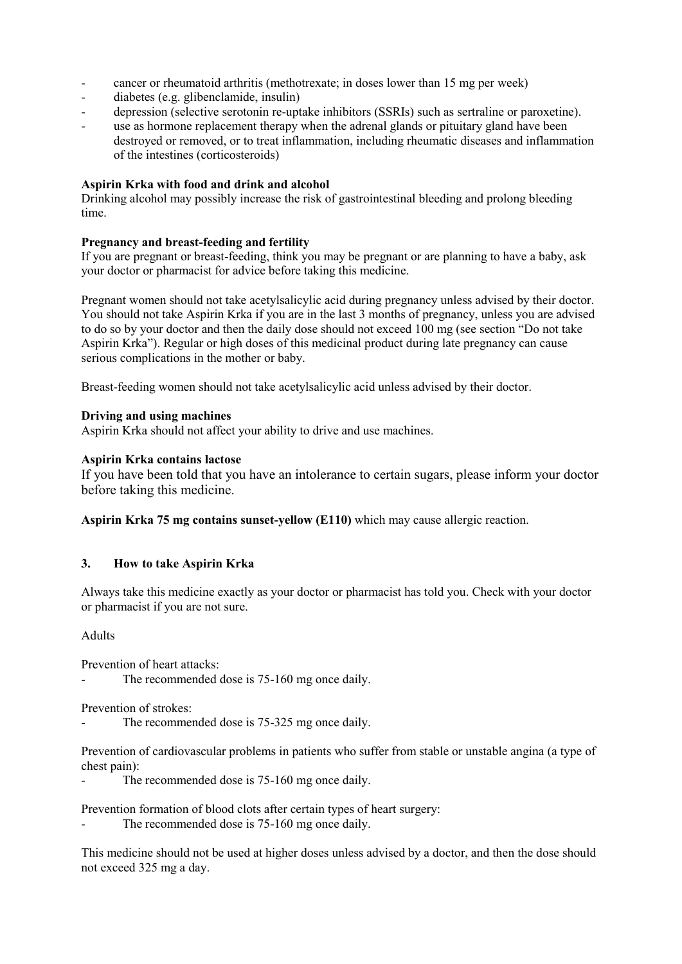- cancer or rheumatoid arthritis (methotrexate; in doses lower than 15 mg per week)
- diabetes (e.g. glibenclamide, insulin)
- depression (selective serotonin re-uptake inhibitors (SSRIs) such as sertraline or paroxetine).
- use as hormone replacement therapy when the adrenal glands or pituitary gland have been destroyed or removed, or to treat inflammation, including rheumatic diseases and inflammation of the intestines (corticosteroids)

# **Aspirin Krka with food and drink and alcohol**

Drinking alcohol may possibly increase the risk of gastrointestinal bleeding and prolong bleeding time.

# **Pregnancy and breast-feeding and fertility**

If you are pregnant or breast-feeding, think you may be pregnant or are planning to have a baby, ask your doctor or pharmacist for advice before taking this medicine.

Pregnant women should not take acetylsalicylic acid during pregnancy unless advised by their doctor. You should not take Aspirin Krka if you are in the last 3 months of pregnancy, unless you are advised to do so by your doctor and then the daily dose should not exceed 100 mg (see section "Do not take Aspirin Krka"). Regular or high doses of this medicinal product during late pregnancy can cause serious complications in the mother or baby.

Breast-feeding women should not take acetylsalicylic acid unless advised by their doctor.

# **Driving and using machines**

Aspirin Krka should not affect your ability to drive and use machines.

# **Aspirin Krka contains lactose**

If you have been told that you have an intolerance to certain sugars, please inform your doctor before taking this medicine.

**Aspirin Krka 75 mg contains sunset-yellow (E110)** which may cause allergic reaction.

# **3. How to take Aspirin Krka**

Always take this medicine exactly as your doctor or pharmacist has told you. Check with your doctor or pharmacist if you are not sure.

#### Adults

Prevention of heart attacks:

The recommended dose is 75-160 mg once daily.

Prevention of strokes:

The recommended dose is 75-325 mg once daily.

Prevention of cardiovascular problems in patients who suffer from stable or unstable angina (a type of chest pain):

The recommended dose is 75-160 mg once daily.

Prevention formation of blood clots after certain types of heart surgery:

The recommended dose is 75-160 mg once daily.

This medicine should not be used at higher doses unless advised by a doctor, and then the dose should not exceed 325 mg a day.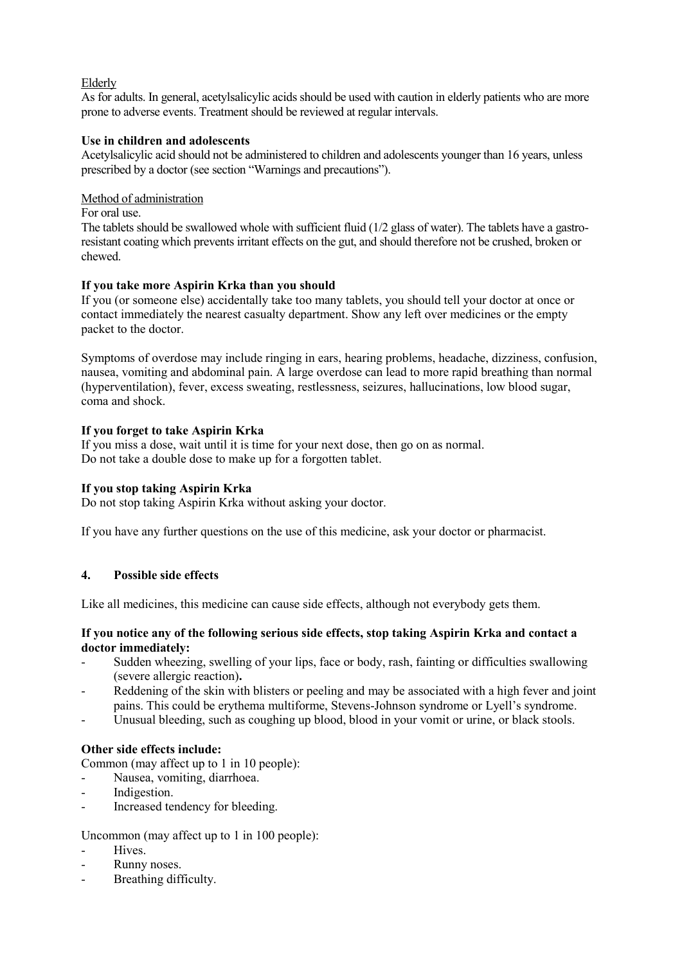# Elderly

As for adults. In general, acetylsalicylic acids should be used with caution in elderly patients who are more prone to adverse events. Treatment should be reviewed at regular intervals.

#### **Use in children and adolescents**

Acetylsalicylic acid should not be administered to children and adolescents younger than 16 years, unless prescribed by a doctor (see section "Warnings and precautions").

## Method of administration

#### For oral use.

The tablets should be swallowed whole with sufficient fluid (1/2 glass of water). The tablets have a gastroresistant coating which prevents irritant effects on the gut, and should therefore not be crushed, broken or chewed.

# **If you take more Aspirin Krka than you should**

If you (or someone else) accidentally take too many tablets, you should tell your doctor at once or contact immediately the nearest casualty department. Show any left over medicines or the empty packet to the doctor.

Symptoms of overdose may include ringing in ears, hearing problems, headache, dizziness, confusion, nausea, vomiting and abdominal pain. A large overdose can lead to more rapid breathing than normal (hyperventilation), fever, excess sweating, restlessness, seizures, hallucinations, low blood sugar, coma and shock.

# **If you forget to take Aspirin Krka**

If you miss a dose, wait until it is time for your next dose, then go on as normal. Do not take a double dose to make up for a forgotten tablet.

# **If you stop taking Aspirin Krka**

Do not stop taking Aspirin Krka without asking your doctor.

If you have any further questions on the use of this medicine, ask your doctor or pharmacist.

# **4. Possible side effects**

Like all medicines, this medicine can cause side effects, although not everybody gets them.

#### **If you notice any of the following serious side effects, stop taking Aspirin Krka and contact a doctor immediately:**

- Sudden wheezing, swelling of your lips, face or body, rash, fainting or difficulties swallowing (severe allergic reaction)**.**
- Reddening of the skin with blisters or peeling and may be associated with a high fever and joint pains. This could be erythema multiforme, Stevens-Johnson syndrome or Lyell's syndrome.
- Unusual bleeding, such as coughing up blood, blood in your vomit or urine, or black stools.

# **Other side effects include:**

Common (may affect up to 1 in 10 people):

- Nausea, vomiting, diarrhoea.
- Indigestion.
- Increased tendency for bleeding.

#### Uncommon (may affect up to 1 in 100 people):

- Hives.
- Runny noses.
- Breathing difficulty.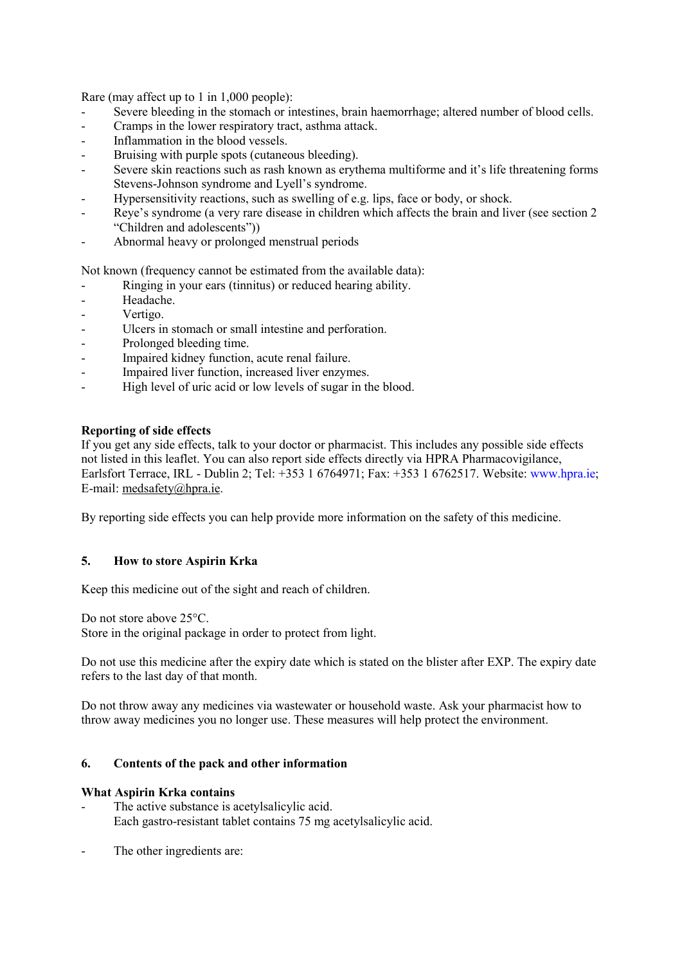Rare (may affect up to 1 in 1,000 people):

- Severe bleeding in the stomach or intestines, brain haemorrhage; altered number of blood cells.
- Cramps in the lower respiratory tract, asthma attack.
- Inflammation in the blood vessels.
- Bruising with purple spots (cutaneous bleeding).
- Severe skin reactions such as rash known as erythema multiforme and it's life threatening forms Stevens-Johnson syndrome and Lyell's syndrome.
- Hypersensitivity reactions, such as swelling of e.g. lips, face or body, or shock.
- Reye's syndrome (a very rare disease in children which affects the brain and liver (see section 2 "Children and adolescents"))
- Abnormal heavy or prolonged menstrual periods

Not known (frequency cannot be estimated from the available data):

- Ringing in your ears (tinnitus) or reduced hearing ability.
- Headache.
- Vertigo.
- Ulcers in stomach or small intestine and perforation.
- Prolonged bleeding time.
- Impaired kidney function, acute renal failure.
- Impaired liver function, increased liver enzymes.
- High level of uric acid or low levels of sugar in the blood.

# **Reporting of side effects**

If you get any side effects, talk to your doctor or pharmacist. This includes any possible side effects not listed in this leaflet. You can also report side effects directly via HPRA Pharmacovigilance, Earlsfort Terrace, IRL - Dublin 2; Tel: +353 1 6764971; Fax: +353 1 6762517. Website: www.hpra.ie; E-mail: [medsafety@hpra.ie.](mailto:medsafety@hpra.ie)

By reporting side effects you can help provide more information on the safety of this medicine.

#### **5. How to store Aspirin Krka**

Keep this medicine out of the sight and reach of children.

Do not store above 25°C.

Store in the original package in order to protect from light.

Do not use this medicine after the expiry date which is stated on the blister after EXP. The expiry date refers to the last day of that month.

Do not throw away any medicines via wastewater or household waste. Ask your pharmacist how to throw away medicines you no longer use. These measures will help protect the environment.

#### **6. Contents of the pack and other information**

#### **What Aspirin Krka contains**

- The active substance is acetylsalicylic acid. Each gastro-resistant tablet contains 75 mg acetylsalicylic acid.
- The other ingredients are: